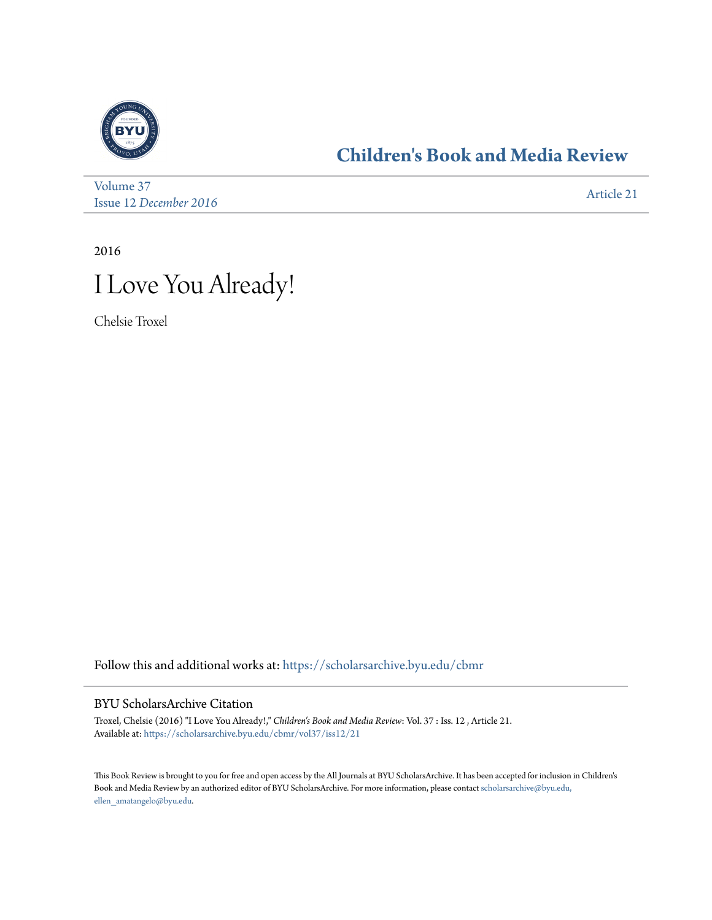

## **[Children's Book and Media Review](https://scholarsarchive.byu.edu/cbmr?utm_source=scholarsarchive.byu.edu%2Fcbmr%2Fvol37%2Fiss12%2F21&utm_medium=PDF&utm_campaign=PDFCoverPages)**

[Volume 37](https://scholarsarchive.byu.edu/cbmr/vol37?utm_source=scholarsarchive.byu.edu%2Fcbmr%2Fvol37%2Fiss12%2F21&utm_medium=PDF&utm_campaign=PDFCoverPages) Issue 12 *[December 2016](https://scholarsarchive.byu.edu/cbmr/vol37/iss12?utm_source=scholarsarchive.byu.edu%2Fcbmr%2Fvol37%2Fiss12%2F21&utm_medium=PDF&utm_campaign=PDFCoverPages)* [Article 21](https://scholarsarchive.byu.edu/cbmr/vol37/iss12/21?utm_source=scholarsarchive.byu.edu%2Fcbmr%2Fvol37%2Fiss12%2F21&utm_medium=PDF&utm_campaign=PDFCoverPages)

2016



Chelsie Troxel

Follow this and additional works at: [https://scholarsarchive.byu.edu/cbmr](https://scholarsarchive.byu.edu/cbmr?utm_source=scholarsarchive.byu.edu%2Fcbmr%2Fvol37%2Fiss12%2F21&utm_medium=PDF&utm_campaign=PDFCoverPages)

## BYU ScholarsArchive Citation

Troxel, Chelsie (2016) "I Love You Already!," *Children's Book and Media Review*: Vol. 37 : Iss. 12 , Article 21. Available at: [https://scholarsarchive.byu.edu/cbmr/vol37/iss12/21](https://scholarsarchive.byu.edu/cbmr/vol37/iss12/21?utm_source=scholarsarchive.byu.edu%2Fcbmr%2Fvol37%2Fiss12%2F21&utm_medium=PDF&utm_campaign=PDFCoverPages)

This Book Review is brought to you for free and open access by the All Journals at BYU ScholarsArchive. It has been accepted for inclusion in Children's Book and Media Review by an authorized editor of BYU ScholarsArchive. For more information, please contact [scholarsarchive@byu.edu,](mailto:scholarsarchive@byu.edu,%20ellen_amatangelo@byu.edu) [ellen\\_amatangelo@byu.edu.](mailto:scholarsarchive@byu.edu,%20ellen_amatangelo@byu.edu)